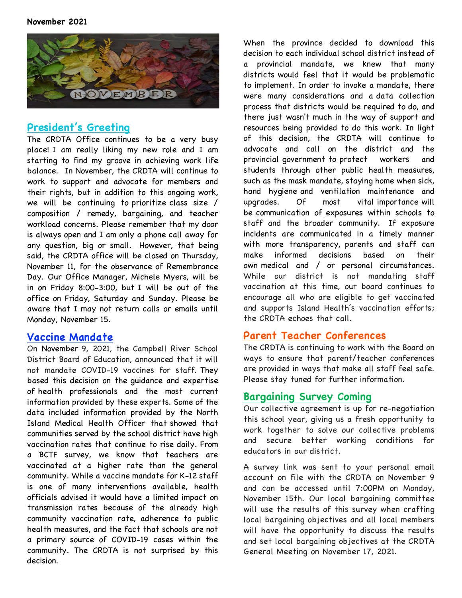

## **President's Greeting**

The CRDTA Office continues to be a very busy place! I am really liking my new role and I am starting to find my groove in achieving work life balance. In November, the CRDTA will continue to work to support and advocate for members and their rights, but in addition to this ongoing work, we will be continuing to prioritize class size / composition / remedy, bargaining, and teacher workload concerns. Please remember that my door is always open and I am only a phone call away for any question, big or small. However, that being said, the CRDTA office will be closed on Thursday, November 11, for the observance of Remembrance Day. Our Office Manager, Michele Myers, will be in on Friday 8:00-3:00, but I will be out of the office on Friday, Saturday and Sunday. Please be aware that I may not return calls or emails until Monday, November 15.

#### **Vaccine Mandate**

On November 9, 2021, the Campbell River School District Board of Education, announced that it will not mandate COVID-19 vaccines for staff. They based this decision on the guidance and expertise of health professionals and the most current information provided by these experts. Some of the data included information provided by the North Island Medical Health Officer that showed that communities served by the school district have high vaccination rates that continue to rise daily. From a BCTF survey, we know that teachers are vaccinated at a higher rate than the general community. While a vaccine mandate for K-12 staff is one of many interventions available, health officials advised it would have a limited impact on transmission rates because of the already high community vaccination rate, adherence to public health measures, and the fact that schools are not a primary source of COVID-19 cases within the community. The CRDTA is not surprised by this decision.

When the province decided to download this decision to each individual school district instead of a provincial mandate, we knew that many districts would feel that it would be problematic to implement. In order to invoke a mandate, there were many considerations and a data collection process that districts would be required to do, and there just wasn't much in the way of support and resources being provided to do this work. In light of this decision, the CRDTA will continue to advocate and call on the district and the provincial government to protect workers and students through other public health measures, such as the mask mandate, staying home when sick, hand hygiene and ventilation maintenance and upgrades. Of most vital importance will be communication of exposures within schools to staff and the broader community. If exposure incidents are communicated in a timely manner with more transparency, parents and staff can make informed decisions based on their own medical and / or personal circumstances. While our district is not mandating staff vaccination at this time, our board continues to encourage all who are eligible to get vaccinated and supports Island Health's vaccination efforts; the CRDTA echoes that call.

# **Parent Teacher Conferences**

The CRDTA is continuing to work with the Board on ways to ensure that parent/teacher conferences are provided in ways that make all staff feel safe. Please stay tuned for further information.

## **Bargaining Survey Coming**

Our collective agreement is up for re-negotiation this school year, giving us a fresh opportunity to work together to solve our collective problems and secure better working conditions for educators in our district.

A survey link was sent to your personal email account on file with the CRDTA on November 9 and can be accessed until 7:00PM on Monday, November 15th. Our local bargaining committee will use the results of this survey when crafting local bargaining objectives and all local members will have the opportunity to discuss the results and set local bargaining objectives at the CRDTA General Meeting on November 17, 2021.